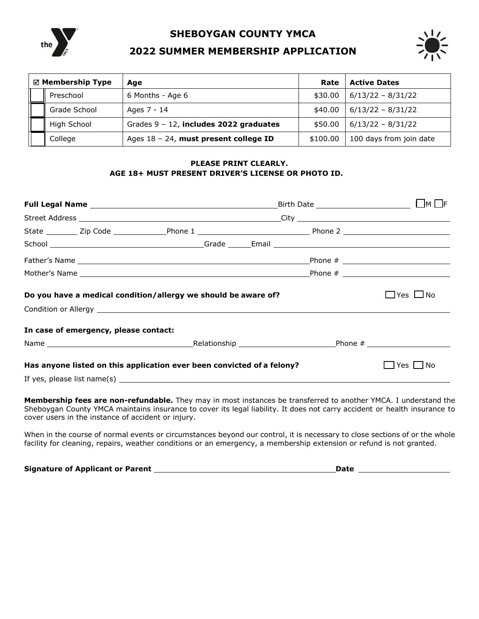

**SHEBOYGAN COUNTY YMCA** 

## **2022 SUMMER MEMBERSHIP APPLICATION**



| $\boxtimes$ Membership Type |              | Age                                       | Rate     | <b>Active Dates</b>     |
|-----------------------------|--------------|-------------------------------------------|----------|-------------------------|
|                             | Preschool    | 6 Months - Age 6                          | \$30.00  | $6/13/22 - 8/31/22$     |
|                             | Grade School | Ages 7 - 14                               | \$40.00  | $6/13/22 - 8/31/22$     |
|                             | High School  | Grades $9 - 12$ , includes 2022 graduates | \$50.00  | $6/13/22 - 8/31/22$     |
|                             | College      | Ages 18 - 24, must present college ID     | \$100.00 | 100 days from join date |

## **PLEASE PRINT CLEARLY. AGE 18+ MUST PRESENT DRIVER'S LICENSE OR PHOTO ID.**

|                                                                        |                                       |                                                                |  |                                                                                                                | IMIE                 |
|------------------------------------------------------------------------|---------------------------------------|----------------------------------------------------------------|--|----------------------------------------------------------------------------------------------------------------|----------------------|
|                                                                        |                                       |                                                                |  |                                                                                                                |                      |
|                                                                        |                                       |                                                                |  | State __________ Zip Code _______________Phone 1 _______________________________Phone 2 ______________________ |                      |
|                                                                        |                                       |                                                                |  |                                                                                                                |                      |
|                                                                        |                                       |                                                                |  |                                                                                                                |                      |
|                                                                        |                                       |                                                                |  |                                                                                                                |                      |
|                                                                        |                                       | Do you have a medical condition/allergy we should be aware of? |  |                                                                                                                | $\Box$ Yes $\Box$ No |
|                                                                        | In case of emergency, please contact: |                                                                |  |                                                                                                                |                      |
|                                                                        |                                       |                                                                |  |                                                                                                                |                      |
| Has anyone listed on this application ever been convicted of a felony? | – I No<br>Yes l                       |                                                                |  |                                                                                                                |                      |
|                                                                        |                                       |                                                                |  |                                                                                                                |                      |

**Membership fees are non-refundable.** They may in most instances be transferred to another YMCA. I understand the Sheboygan County YMCA maintains insurance to cover its legal liability. It does not carry accident or health insurance to cover users in the instance of accident or injury.

When in the course of normal events or circumstances beyond our control, it is necessary to close sections of or the whole facility for cleaning, repairs, weather conditions or an emergency, a membership extension or refund is not granted.

**Signature of Applicant or Parent Date**